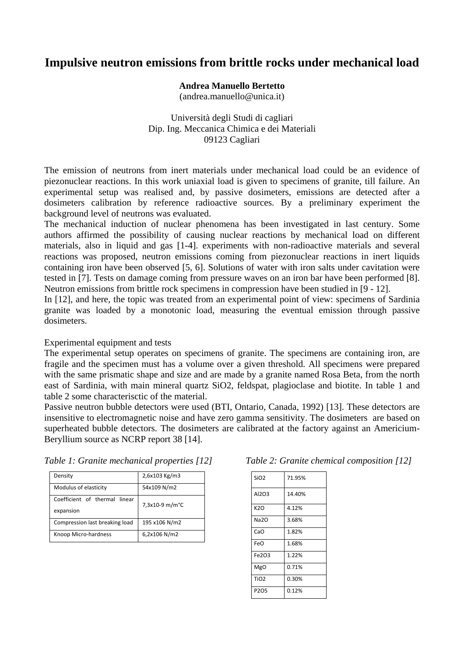## **Impulsive neutron emissions from brittle rocks under mechanical load**

## **Andrea Manuello Bertetto**

(andrea.manuello@unica.it)

Università degli Studi di cagliari Dip. Ing. Meccanica Chimica e dei Materiali 09123 Cagliari

The emission of neutrons from inert materials under mechanical load could be an evidence of piezonuclear reactions. In this work uniaxial load is given to specimens of granite, till failure. An experimental setup was realised and, by passive dosimeters, emissions are detected after a dosimeters calibration by reference radioactive sources. By a preliminary experiment the background level of neutrons was evaluated.

The mechanical induction of nuclear phenomena has been investigated in last century. Some authors affirmed the possibility of causing nuclear reactions by mechanical load on different materials, also in liquid and gas [1-4]. experiments with non-radioactive materials and several reactions was proposed, neutron emissions coming from piezonuclear reactions in inert liquids containing iron have been observed [5, 6]. Solutions of water with iron salts under cavitation were tested in [7]. Tests on damage coming from pressure waves on an iron bar have been performed [8]. Neutron emissions from brittle rock specimens in compression have been studied in [9 - 12].

In [12], and here, the topic was treated from an experimental point of view: specimens of Sardinia granite was loaded by a monotonic load, measuring the eventual emission through passive dosimeters.

## Experimental equipment and tests

The experimental setup operates on specimens of granite. The specimens are containing iron, are fragile and the specimen must has a volume over a given threshold. All specimens were prepared with the same prismatic shape and size and are made by a granite named Rosa Beta, from the north east of Sardinia, with main mineral quartz SiO2, feldspat, plagioclase and biotite. In table 1 and table 2 some characterisctic of the material.

Passive neutron bubble detectors were used (BTI, Ontario, Canada, 1992) [13]. These detectors are insensitive to electromagnetic noise and have zero gamma sensitivity. The dosimeters are based on superheated bubble detectors. The dosimeters are calibrated at the factory against an Americium-Beryllium source as NCRP report 38 [14].

| Density                                    | 2,6x103 Kg/m3  |  |
|--------------------------------------------|----------------|--|
| Modulus of elasticity                      | 54x109 N/m2    |  |
| Coefficient of thermal linear<br>expansion | 7,3x10-9 m/m°C |  |
| Compression last breaking load             | 195 x106 N/m2  |  |

Knoop Micro‐hardness 6,2x106 N/m2

*Table 1: Granite mechanical properties [12]* 

| Table 2: Granite chemical composition [12] |  |  |
|--------------------------------------------|--|--|
|--------------------------------------------|--|--|

| SiO <sub>2</sub> | 71.95% |
|------------------|--------|
| Al2O3            | 14.40% |
| K2O              | 4.12%  |
| <b>Na2O</b>      | 3.68%  |
| CaO              | 1.82%  |
| FeO              | 1.68%  |
| Fe203            | 1.22%  |
| <b>MgO</b>       | 0.71%  |
| <b>TiO2</b>      | 0.30%  |
| P <sub>205</sub> | 0.12%  |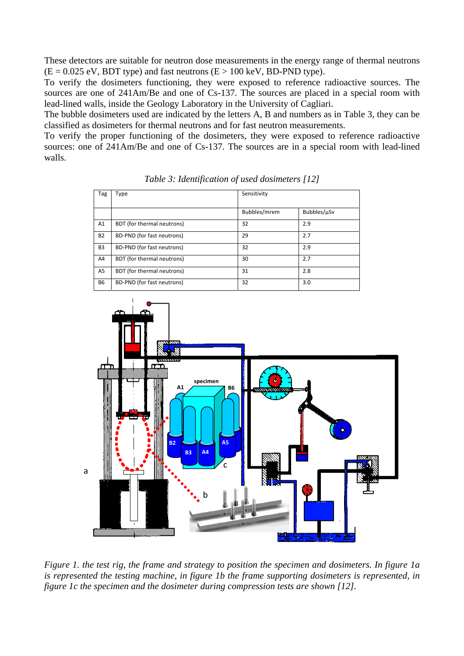These detectors are suitable for neutron dose measurements in the energy range of thermal neutrons  $(E = 0.025 \text{ eV}, BDT \text{ type})$  and fast neutrons  $(E > 100 \text{ keV}, BD-PND \text{ type})$ .

To verify the dosimeters functioning, they were exposed to reference radioactive sources. The sources are one of 241Am/Be and one of Cs-137. The sources are placed in a special room with lead-lined walls, inside the Geology Laboratory in the University of Cagliari.

The bubble dosimeters used are indicated by the letters A, B and numbers as in Table 3, they can be classified as dosimeters for thermal neutrons and for fast neutron measurements.

To verify the proper functioning of the dosimeters, they were exposed to reference radioactive sources: one of 241Am/Be and one of Cs-137. The sources are in a special room with lead-lined walls.

| Tag            | Type                       | Sensitivity  |             |
|----------------|----------------------------|--------------|-------------|
|                |                            | Bubbles/mrem | Bubbles/µSv |
| A1             | BDT (for thermal neutrons) | 32           | 2.9         |
| <b>B2</b>      | BD-PND (for fast neutrons) | 29           | 2.7         |
| B <sub>3</sub> | BD-PND (for fast neutrons) | 32           | 2.9         |
| A4             | BDT (for thermal neutrons) | 30           | 2.7         |
| A <sub>5</sub> | BDT (for thermal neutrons) | 31           | 2.8         |
| <b>B6</b>      | BD-PND (for fast neutrons) | 32           | 3.0         |

*Table 3: Identification of used dosimeters [12]* 



*Figure 1. the test rig, the frame and strategy to position the specimen and dosimeters. In figure 1a is represented the testing machine, in figure 1b the frame supporting dosimeters is represented, in figure 1c the specimen and the dosimeter during compression tests are shown [12].*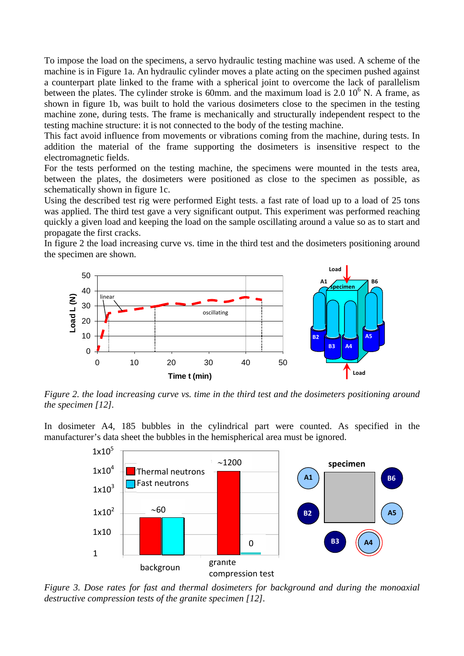To impose the load on the specimens, a servo hydraulic testing machine was used. A scheme of the machine is in Figure 1a. An hydraulic cylinder moves a plate acting on the specimen pushed against a counterpart plate linked to the frame with a spherical joint to overcome the lack of parallelism between the plates. The cylinder stroke is 60mm. and the maximum load is  $2.0\,10^6$  N. A frame, as shown in figure 1b, was built to hold the various dosimeters close to the specimen in the testing machine zone, during tests. The frame is mechanically and structurally independent respect to the testing machine structure: it is not connected to the body of the testing machine.

This fact avoid influence from movements or vibrations coming from the machine, during tests. In addition the material of the frame supporting the dosimeters is insensitive respect to the electromagnetic fields.

For the tests performed on the testing machine, the specimens were mounted in the tests area, between the plates, the dosimeters were positioned as close to the specimen as possible, as schematically shown in figure 1c.

Using the described test rig were performed Eight tests. a fast rate of load up to a load of 25 tons was applied. The third test gave a very significant output. This experiment was performed reaching quickly a given load and keeping the load on the sample oscillating around a value so as to start and propagate the first cracks.

In figure 2 the load increasing curve vs. time in the third test and the dosimeters positioning around the specimen are shown.



*Figure 2. the load increasing curve vs. time in the third test and the dosimeters positioning around the specimen [12].* 

In dosimeter A4, 185 bubbles in the cylindrical part were counted. As specified in the manufacturer's data sheet the bubbles in the hemispherical area must be ignored.



*Figure 3. Dose rates for fast and thermal dosimeters for background and during the monoaxial destructive compression tests of the granite specimen [12].*